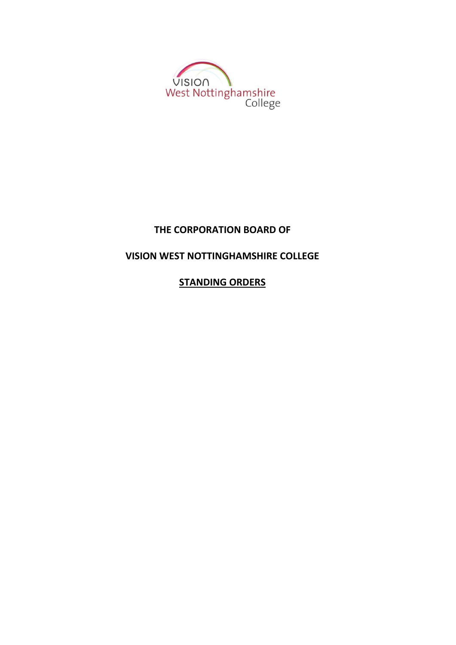

# **THE CORPORATION BOARD OF**

# **VISION WEST NOTTINGHAMSHIRE COLLEGE**

**STANDING ORDERS**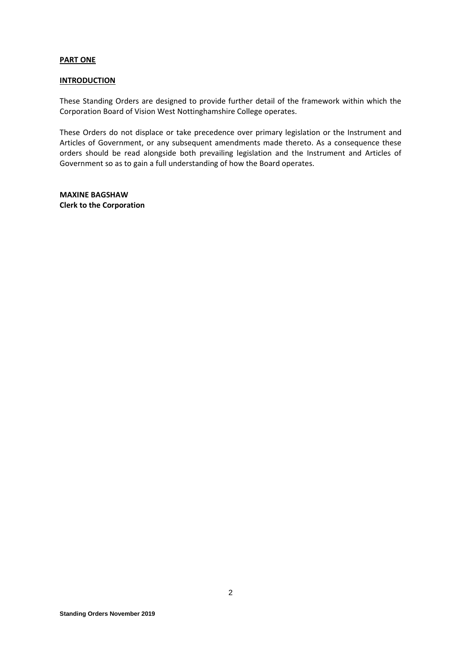#### **PART ONE**

#### **INTRODUCTION**

These Standing Orders are designed to provide further detail of the framework within which the Corporation Board of Vision West Nottinghamshire College operates.

These Orders do not displace or take precedence over primary legislation or the Instrument and Articles of Government, or any subsequent amendments made thereto. As a consequence these orders should be read alongside both prevailing legislation and the Instrument and Articles of Government so as to gain a full understanding of how the Board operates.

**MAXINE BAGSHAW Clerk to the Corporation**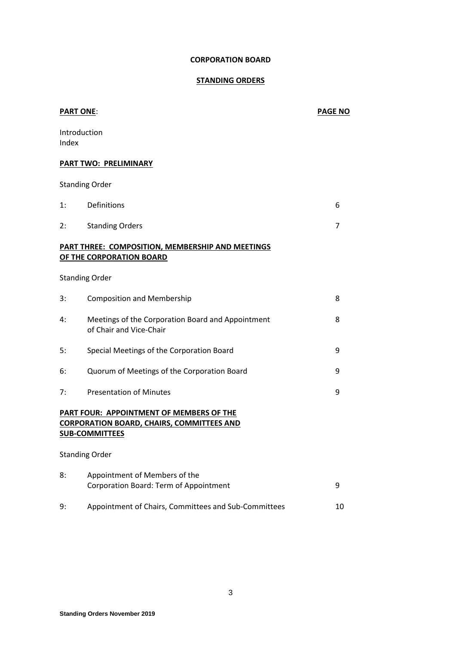## **STANDING ORDERS**

| <b>PART ONE:</b> |                                                                                                                       | <b>PAGE NO</b> |  |
|------------------|-----------------------------------------------------------------------------------------------------------------------|----------------|--|
| Index            | Introduction                                                                                                          |                |  |
|                  | PART TWO: PRELIMINARY                                                                                                 |                |  |
|                  | <b>Standing Order</b>                                                                                                 |                |  |
| 1:               | <b>Definitions</b>                                                                                                    | 6              |  |
| 2:               | <b>Standing Orders</b>                                                                                                | 7              |  |
|                  | PART THREE: COMPOSITION, MEMBERSHIP AND MEETINGS<br>OF THE CORPORATION BOARD                                          |                |  |
|                  | <b>Standing Order</b>                                                                                                 |                |  |
| 3:               | <b>Composition and Membership</b>                                                                                     | 8              |  |
| 4:               | Meetings of the Corporation Board and Appointment<br>of Chair and Vice-Chair                                          | 8              |  |
| 5:               | Special Meetings of the Corporation Board                                                                             | 9              |  |
| 6:               | Quorum of Meetings of the Corporation Board                                                                           | 9              |  |
| 7:               | <b>Presentation of Minutes</b>                                                                                        | 9              |  |
|                  | PART FOUR: APPOINTMENT OF MEMBERS OF THE<br><b>CORPORATION BOARD, CHAIRS, COMMITTEES AND</b><br><b>SUB-COMMITTEES</b> |                |  |
|                  | <b>Standing Order</b>                                                                                                 |                |  |
| 8:               | Appointment of Members of the<br>Corporation Board: Term of Appointment                                               | 9              |  |
| 9:               | Appointment of Chairs, Committees and Sub-Committees                                                                  | 10             |  |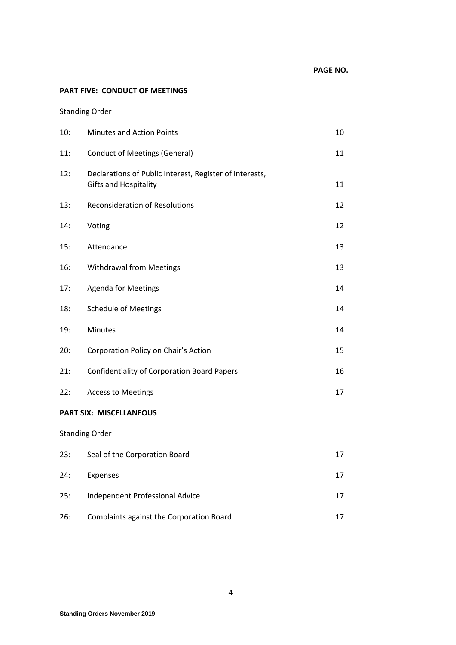## **PART FIVE: CONDUCT OF MEETINGS**

## Standing Order

| 10:                            | <b>Minutes and Action Points</b>                                                        | 10 |  |  |
|--------------------------------|-----------------------------------------------------------------------------------------|----|--|--|
| 11:                            | <b>Conduct of Meetings (General)</b>                                                    | 11 |  |  |
| 12:                            | Declarations of Public Interest, Register of Interests,<br><b>Gifts and Hospitality</b> | 11 |  |  |
| 13:                            | <b>Reconsideration of Resolutions</b>                                                   | 12 |  |  |
| 14:                            | Voting                                                                                  | 12 |  |  |
| 15:                            | Attendance                                                                              | 13 |  |  |
| 16:                            | Withdrawal from Meetings                                                                | 13 |  |  |
| 17:                            | <b>Agenda for Meetings</b>                                                              | 14 |  |  |
| 18:                            | <b>Schedule of Meetings</b>                                                             | 14 |  |  |
| 19:                            | Minutes                                                                                 | 14 |  |  |
| 20:                            | Corporation Policy on Chair's Action                                                    | 15 |  |  |
| 21:                            | <b>Confidentiality of Corporation Board Papers</b>                                      | 16 |  |  |
| 22:                            | <b>Access to Meetings</b>                                                               | 17 |  |  |
| <b>PART SIX: MISCELLANEOUS</b> |                                                                                         |    |  |  |
| <b>Standing Order</b>          |                                                                                         |    |  |  |

| 23: | Seal of the Corporation Board            |    |
|-----|------------------------------------------|----|
| 24: | Expenses                                 | 17 |
| 25: | Independent Professional Advice          | 17 |
| 26: | Complaints against the Corporation Board |    |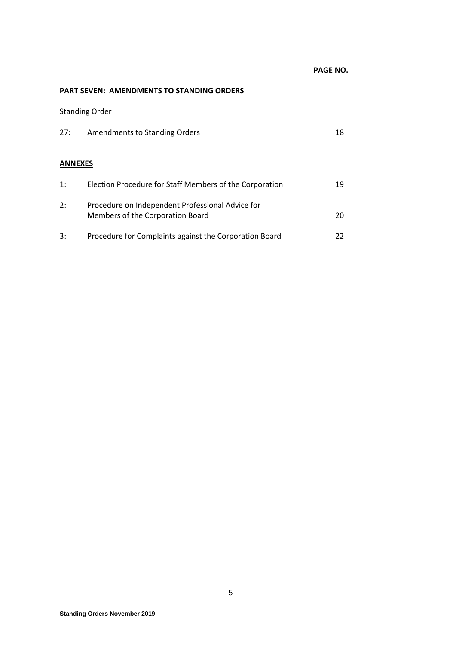## **PAGE NO.**

## **PART SEVEN: AMENDMENTS TO STANDING ORDERS**

Standing Order

| 27:            | Amendments to Standing Orders                                                        | 18 |
|----------------|--------------------------------------------------------------------------------------|----|
| <b>ANNEXES</b> |                                                                                      |    |
| 1:             | Election Procedure for Staff Members of the Corporation                              | 19 |
| 2:             | Procedure on Independent Professional Advice for<br>Members of the Corporation Board | 20 |
| 3:             | Procedure for Complaints against the Corporation Board                               | 22 |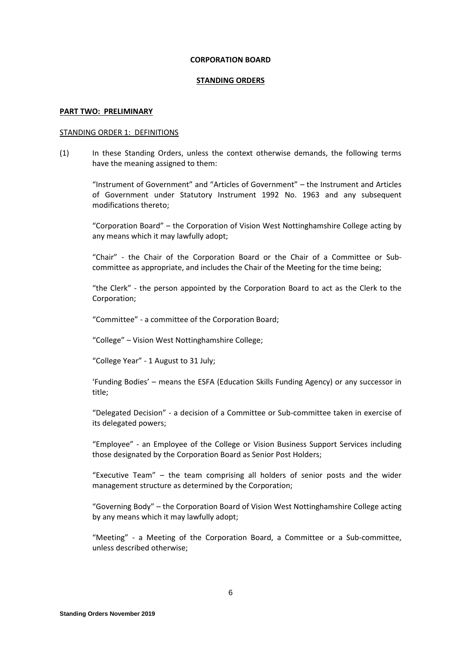#### **STANDING ORDERS**

#### **PART TWO: PRELIMINARY**

#### STANDING ORDER 1: DEFINITIONS

(1) In these Standing Orders, unless the context otherwise demands, the following terms have the meaning assigned to them:

"Instrument of Government" and "Articles of Government" – the Instrument and Articles of Government under Statutory Instrument 1992 No. 1963 and any subsequent modifications thereto;

"Corporation Board" – the Corporation of Vision West Nottinghamshire College acting by any means which it may lawfully adopt;

"Chair" - the Chair of the Corporation Board or the Chair of a Committee or Subcommittee as appropriate, and includes the Chair of the Meeting for the time being;

"the Clerk" - the person appointed by the Corporation Board to act as the Clerk to the Corporation;

"Committee" - a committee of the Corporation Board;

"College" – Vision West Nottinghamshire College;

"College Year" - 1 August to 31 July;

'Funding Bodies' – means the ESFA (Education Skills Funding Agency) or any successor in title;

"Delegated Decision" - a decision of a Committee or Sub-committee taken in exercise of its delegated powers;

"Employee" - an Employee of the College or Vision Business Support Services including those designated by the Corporation Board as Senior Post Holders;

"Executive Team" – the team comprising all holders of senior posts and the wider management structure as determined by the Corporation;

"Governing Body" – the Corporation Board of Vision West Nottinghamshire College acting by any means which it may lawfully adopt;

"Meeting" - a Meeting of the Corporation Board, a Committee or a Sub-committee, unless described otherwise;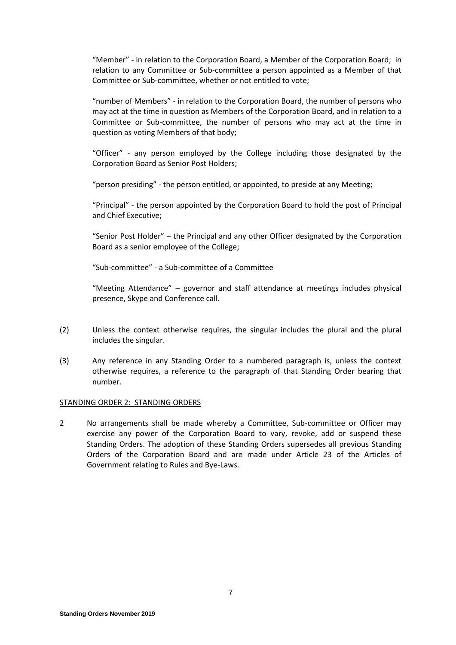"Member" - in relation to the Corporation Board, a Member of the Corporation Board; in relation to any Committee or Sub-committee a person appointed as a Member of that Committee or Sub-committee, whether or not entitled to vote;

"number of Members" - in relation to the Corporation Board, the number of persons who may act at the time in question as Members of the Corporation Board, and in relation to a Committee or Sub-committee, the number of persons who may act at the time in question as voting Members of that body;

"Officer" - any person employed by the College including those designated by the Corporation Board as Senior Post Holders;

"person presiding" - the person entitled, or appointed, to preside at any Meeting;

"Principal" - the person appointed by the Corporation Board to hold the post of Principal and Chief Executive;

"Senior Post Holder" – the Principal and any other Officer designated by the Corporation Board as a senior employee of the College;

"Sub-committee" - a Sub-committee of a Committee

"Meeting Attendance" – governor and staff attendance at meetings includes physical presence, Skype and Conference call.

- (2) Unless the context otherwise requires, the singular includes the plural and the plural includes the singular.
- (3) Any reference in any Standing Order to a numbered paragraph is, unless the context otherwise requires, a reference to the paragraph of that Standing Order bearing that number.

#### STANDING ORDER 2: STANDING ORDERS

2 No arrangements shall be made whereby a Committee, Sub-committee or Officer may exercise any power of the Corporation Board to vary, revoke, add or suspend these Standing Orders. The adoption of these Standing Orders supersedes all previous Standing Orders of the Corporation Board and are made under Article 23 of the Articles of Government relating to Rules and Bye-Laws.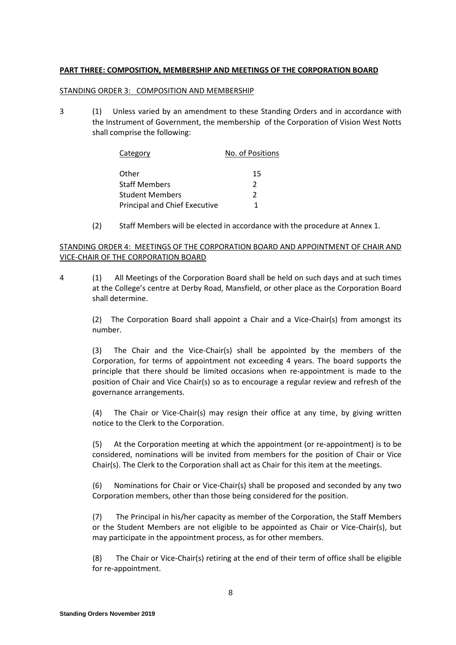### **PART THREE: COMPOSITION, MEMBERSHIP AND MEETINGS OF THE CORPORATION BOARD**

### STANDING ORDER 3: COMPOSITION AND MEMBERSHIP

3 (1) Unless varied by an amendment to these Standing Orders and in accordance with the Instrument of Government, the membership of the Corporation of Vision West Notts shall comprise the following:

| Category                      | No. of Positions |
|-------------------------------|------------------|
| Other                         | 15               |
| <b>Staff Members</b>          | 2                |
| <b>Student Members</b>        | 2                |
| Principal and Chief Executive | 1                |

(2) Staff Members will be elected in accordance with the procedure at Annex 1.

## STANDING ORDER 4: MEETINGS OF THE CORPORATION BOARD AND APPOINTMENT OF CHAIR AND VICE-CHAIR OF THE CORPORATION BOARD

4 (1) All Meetings of the Corporation Board shall be held on such days and at such times at the College's centre at Derby Road, Mansfield, or other place as the Corporation Board shall determine.

(2) The Corporation Board shall appoint a Chair and a Vice-Chair(s) from amongst its number.

(3) The Chair and the Vice-Chair(s) shall be appointed by the members of the Corporation, for terms of appointment not exceeding 4 years. The board supports the principle that there should be limited occasions when re-appointment is made to the position of Chair and Vice Chair(s) so as to encourage a regular review and refresh of the governance arrangements.

(4) The Chair or Vice-Chair(s) may resign their office at any time, by giving written notice to the Clerk to the Corporation.

(5) At the Corporation meeting at which the appointment (or re-appointment) is to be considered, nominations will be invited from members for the position of Chair or Vice Chair(s). The Clerk to the Corporation shall act as Chair for this item at the meetings.

(6) Nominations for Chair or Vice-Chair(s) shall be proposed and seconded by any two Corporation members, other than those being considered for the position.

(7) The Principal in his/her capacity as member of the Corporation, the Staff Members or the Student Members are not eligible to be appointed as Chair or Vice-Chair(s), but may participate in the appointment process, as for other members.

(8) The Chair or Vice-Chair(s) retiring at the end of their term of office shall be eligible for re-appointment.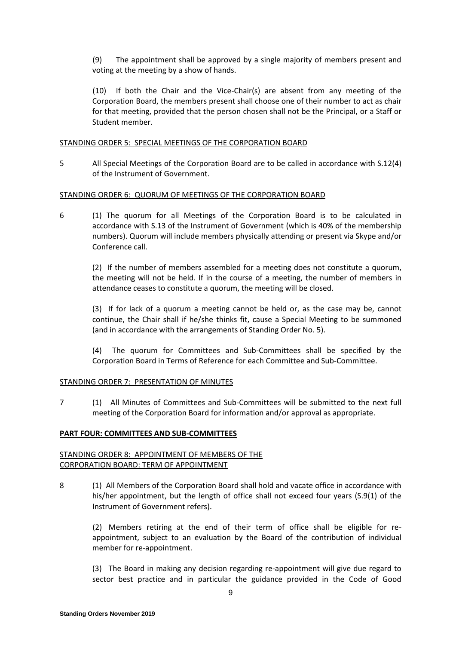(9) The appointment shall be approved by a single majority of members present and voting at the meeting by a show of hands.

(10) If both the Chair and the Vice-Chair(s) are absent from any meeting of the Corporation Board, the members present shall choose one of their number to act as chair for that meeting, provided that the person chosen shall not be the Principal, or a Staff or Student member.

#### STANDING ORDER 5: SPECIAL MEETINGS OF THE CORPORATION BOARD

5 All Special Meetings of the Corporation Board are to be called in accordance with S.12(4) of the Instrument of Government.

#### STANDING ORDER 6: QUORUM OF MEETINGS OF THE CORPORATION BOARD

6 (1) The quorum for all Meetings of the Corporation Board is to be calculated in accordance with S.13 of the Instrument of Government (which is 40% of the membership numbers). Quorum will include members physically attending or present via Skype and/or Conference call.

(2) If the number of members assembled for a meeting does not constitute a quorum, the meeting will not be held. If in the course of a meeting, the number of members in attendance ceases to constitute a quorum, the meeting will be closed.

(3) If for lack of a quorum a meeting cannot be held or, as the case may be, cannot continue, the Chair shall if he/she thinks fit, cause a Special Meeting to be summoned (and in accordance with the arrangements of Standing Order No. 5).

(4) The quorum for Committees and Sub-Committees shall be specified by the Corporation Board in Terms of Reference for each Committee and Sub-Committee.

## STANDING ORDER 7: PRESENTATION OF MINUTES

7 (1) All Minutes of Committees and Sub-Committees will be submitted to the next full meeting of the Corporation Board for information and/or approval as appropriate.

### **PART FOUR: COMMITTEES AND SUB-COMMITTEES**

### STANDING ORDER 8: APPOINTMENT OF MEMBERS OF THE CORPORATION BOARD: TERM OF APPOINTMENT

8 (1) All Members of the Corporation Board shall hold and vacate office in accordance with his/her appointment, but the length of office shall not exceed four years (S.9(1) of the Instrument of Government refers).

(2) Members retiring at the end of their term of office shall be eligible for reappointment, subject to an evaluation by the Board of the contribution of individual member for re-appointment.

(3) The Board in making any decision regarding re-appointment will give due regard to sector best practice and in particular the guidance provided in the Code of Good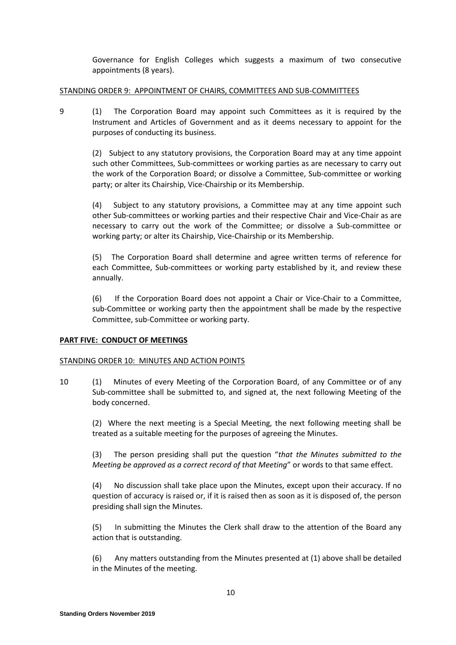Governance for English Colleges which suggests a maximum of two consecutive appointments (8 years).

### STANDING ORDER 9: APPOINTMENT OF CHAIRS, COMMITTEES AND SUB-COMMITTEES

9 (1) The Corporation Board may appoint such Committees as it is required by the Instrument and Articles of Government and as it deems necessary to appoint for the purposes of conducting its business.

(2) Subject to any statutory provisions, the Corporation Board may at any time appoint such other Committees, Sub-committees or working parties as are necessary to carry out the work of the Corporation Board; or dissolve a Committee, Sub-committee or working party; or alter its Chairship, Vice-Chairship or its Membership.

(4) Subject to any statutory provisions, a Committee may at any time appoint such other Sub-committees or working parties and their respective Chair and Vice-Chair as are necessary to carry out the work of the Committee; or dissolve a Sub-committee or working party; or alter its Chairship, Vice-Chairship or its Membership.

(5) The Corporation Board shall determine and agree written terms of reference for each Committee, Sub-committees or working party established by it, and review these annually.

(6) If the Corporation Board does not appoint a Chair or Vice-Chair to a Committee, sub-Committee or working party then the appointment shall be made by the respective Committee, sub-Committee or working party.

## **PART FIVE: CONDUCT OF MEETINGS**

### STANDING ORDER 10: MINUTES AND ACTION POINTS

10 (1) Minutes of every Meeting of the Corporation Board, of any Committee or of any Sub-committee shall be submitted to, and signed at, the next following Meeting of the body concerned.

(2) Where the next meeting is a Special Meeting, the next following meeting shall be treated as a suitable meeting for the purposes of agreeing the Minutes.

(3) The person presiding shall put the question "*that the Minutes submitted to the Meeting be approved as a correct record of that Meeting*" or words to that same effect.

(4) No discussion shall take place upon the Minutes, except upon their accuracy. If no question of accuracy is raised or, if it is raised then as soon as it is disposed of, the person presiding shall sign the Minutes.

(5) In submitting the Minutes the Clerk shall draw to the attention of the Board any action that is outstanding.

(6) Any matters outstanding from the Minutes presented at (1) above shall be detailed in the Minutes of the meeting.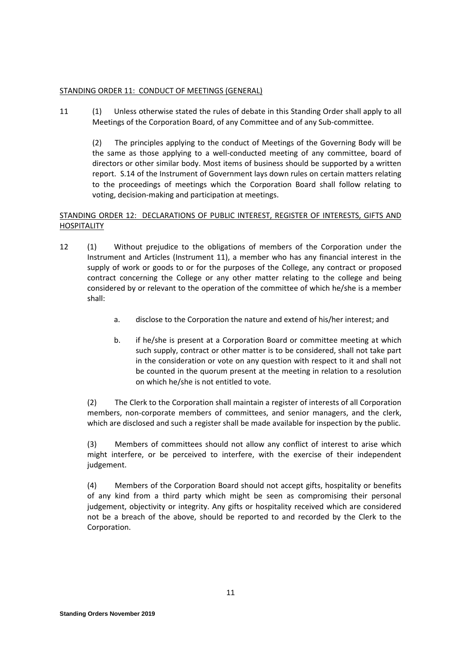## STANDING ORDER 11: CONDUCT OF MEETINGS (GENERAL)

11 (1) Unless otherwise stated the rules of debate in this Standing Order shall apply to all Meetings of the Corporation Board, of any Committee and of any Sub-committee.

(2) The principles applying to the conduct of Meetings of the Governing Body will be the same as those applying to a well-conducted meeting of any committee, board of directors or other similar body. Most items of business should be supported by a written report. S.14 of the Instrument of Government lays down rules on certain matters relating to the proceedings of meetings which the Corporation Board shall follow relating to voting, decision-making and participation at meetings.

## STANDING ORDER 12: DECLARATIONS OF PUBLIC INTEREST, REGISTER OF INTERESTS, GIFTS AND **HOSPITALITY**

- 12 (1) Without prejudice to the obligations of members of the Corporation under the Instrument and Articles (Instrument 11), a member who has any financial interest in the supply of work or goods to or for the purposes of the College, any contract or proposed contract concerning the College or any other matter relating to the college and being considered by or relevant to the operation of the committee of which he/she is a member shall:
	- a. disclose to the Corporation the nature and extend of his/her interest; and
	- b. if he/she is present at a Corporation Board or committee meeting at which such supply, contract or other matter is to be considered, shall not take part in the consideration or vote on any question with respect to it and shall not be counted in the quorum present at the meeting in relation to a resolution on which he/she is not entitled to vote.

(2) The Clerk to the Corporation shall maintain a register of interests of all Corporation members, non-corporate members of committees, and senior managers, and the clerk, which are disclosed and such a register shall be made available for inspection by the public.

(3) Members of committees should not allow any conflict of interest to arise which might interfere, or be perceived to interfere, with the exercise of their independent judgement.

(4) Members of the Corporation Board should not accept gifts, hospitality or benefits of any kind from a third party which might be seen as compromising their personal judgement, objectivity or integrity. Any gifts or hospitality received which are considered not be a breach of the above, should be reported to and recorded by the Clerk to the Corporation.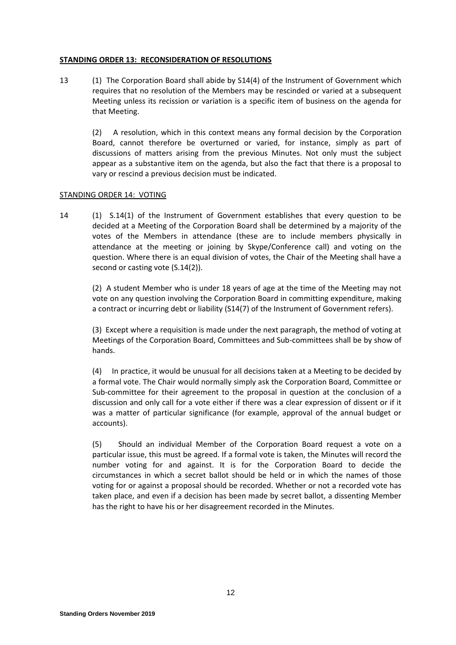#### **STANDING ORDER 13: RECONSIDERATION OF RESOLUTIONS**

13 (1) The Corporation Board shall abide by S14(4) of the Instrument of Government which requires that no resolution of the Members may be rescinded or varied at a subsequent Meeting unless its recission or variation is a specific item of business on the agenda for that Meeting.

(2)A resolution, which in this context means any formal decision by the Corporation Board, cannot therefore be overturned or varied, for instance, simply as part of discussions of matters arising from the previous Minutes. Not only must the subject appear as a substantive item on the agenda, but also the fact that there is a proposal to vary or rescind a previous decision must be indicated.

#### STANDING ORDER 14: VOTING

14 (1) S.14(1) of the Instrument of Government establishes that every question to be decided at a Meeting of the Corporation Board shall be determined by a majority of the votes of the Members in attendance (these are to include members physically in attendance at the meeting or joining by Skype/Conference call) and voting on the question. Where there is an equal division of votes, the Chair of the Meeting shall have a second or casting vote (S.14(2)).

(2) A student Member who is under 18 years of age at the time of the Meeting may not vote on any question involving the Corporation Board in committing expenditure, making a contract or incurring debt or liability (S14(7) of the Instrument of Government refers).

(3) Except where a requisition is made under the next paragraph, the method of voting at Meetings of the Corporation Board, Committees and Sub-committees shall be by show of hands.

(4) In practice, it would be unusual for all decisions taken at a Meeting to be decided by a formal vote. The Chair would normally simply ask the Corporation Board, Committee or Sub-committee for their agreement to the proposal in question at the conclusion of a discussion and only call for a vote either if there was a clear expression of dissent or if it was a matter of particular significance (for example, approval of the annual budget or accounts).

(5) Should an individual Member of the Corporation Board request a vote on a particular issue, this must be agreed. If a formal vote is taken, the Minutes will record the number voting for and against. It is for the Corporation Board to decide the circumstances in which a secret ballot should be held or in which the names of those voting for or against a proposal should be recorded. Whether or not a recorded vote has taken place, and even if a decision has been made by secret ballot, a dissenting Member has the right to have his or her disagreement recorded in the Minutes.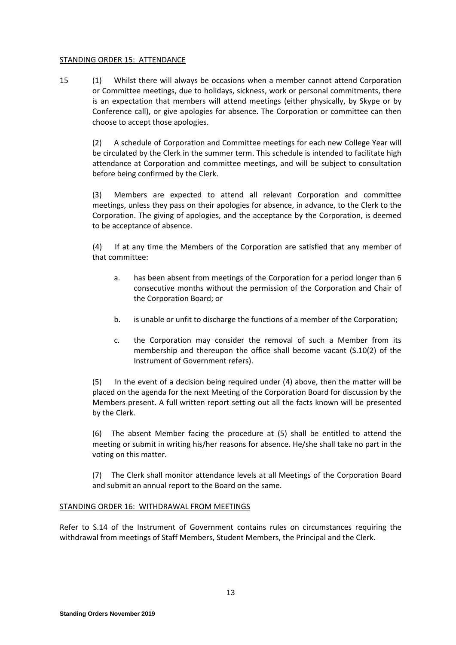#### STANDING ORDER 15: ATTENDANCE

15 (1) Whilst there will always be occasions when a member cannot attend Corporation or Committee meetings, due to holidays, sickness, work or personal commitments, there is an expectation that members will attend meetings (either physically, by Skype or by Conference call), or give apologies for absence. The Corporation or committee can then choose to accept those apologies.

(2) A schedule of Corporation and Committee meetings for each new College Year will be circulated by the Clerk in the summer term. This schedule is intended to facilitate high attendance at Corporation and committee meetings, and will be subject to consultation before being confirmed by the Clerk.

(3) Members are expected to attend all relevant Corporation and committee meetings, unless they pass on their apologies for absence, in advance, to the Clerk to the Corporation. The giving of apologies, and the acceptance by the Corporation, is deemed to be acceptance of absence.

(4) If at any time the Members of the Corporation are satisfied that any member of that committee:

- a. has been absent from meetings of the Corporation for a period longer than 6 consecutive months without the permission of the Corporation and Chair of the Corporation Board; or
- b. is unable or unfit to discharge the functions of a member of the Corporation;
- c. the Corporation may consider the removal of such a Member from its membership and thereupon the office shall become vacant (S.10(2) of the Instrument of Government refers).

(5) In the event of a decision being required under (4) above, then the matter will be placed on the agenda for the next Meeting of the Corporation Board for discussion by the Members present. A full written report setting out all the facts known will be presented by the Clerk.

(6) The absent Member facing the procedure at (5) shall be entitled to attend the meeting or submit in writing his/her reasons for absence. He/she shall take no part in the voting on this matter.

(7) The Clerk shall monitor attendance levels at all Meetings of the Corporation Board and submit an annual report to the Board on the same.

### STANDING ORDER 16: WITHDRAWAL FROM MEETINGS

Refer to S.14 of the Instrument of Government contains rules on circumstances requiring the withdrawal from meetings of Staff Members, Student Members, the Principal and the Clerk.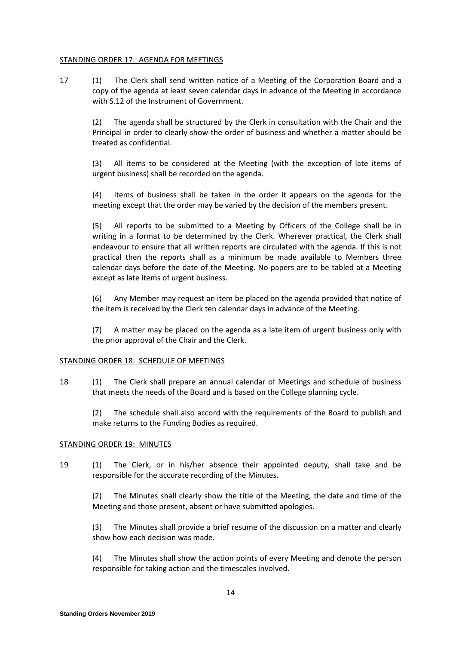#### STANDING ORDER 17: AGENDA FOR MEETINGS

17 (1) The Clerk shall send written notice of a Meeting of the Corporation Board and a copy of the agenda at least seven calendar days in advance of the Meeting in accordance with S.12 of the Instrument of Government.

(2) The agenda shall be structured by the Clerk in consultation with the Chair and the Principal in order to clearly show the order of business and whether a matter should be treated as confidential.

(3) All items to be considered at the Meeting (with the exception of late items of urgent business) shall be recorded on the agenda.

(4) Items of business shall be taken in the order it appears on the agenda for the meeting except that the order may be varied by the decision of the members present.

(5) All reports to be submitted to a Meeting by Officers of the College shall be in writing in a format to be determined by the Clerk. Wherever practical, the Clerk shall endeavour to ensure that all written reports are circulated with the agenda. If this is not practical then the reports shall as a minimum be made available to Members three calendar days before the date of the Meeting. No papers are to be tabled at a Meeting except as late items of urgent business.

(6) Any Member may request an item be placed on the agenda provided that notice of the item is received by the Clerk ten calendar days in advance of the Meeting.

(7) A matter may be placed on the agenda as a late item of urgent business only with the prior approval of the Chair and the Clerk.

### STANDING ORDER 18: SCHEDULE OF MEETINGS

18 (1) The Clerk shall prepare an annual calendar of Meetings and schedule of business that meets the needs of the Board and is based on the College planning cycle.

(2) The schedule shall also accord with the requirements of the Board to publish and make returns to the Funding Bodies as required.

#### STANDING ORDER 19: MINUTES

19 (1) The Clerk, or in his/her absence their appointed deputy, shall take and be responsible for the accurate recording of the Minutes.

(2) The Minutes shall clearly show the title of the Meeting, the date and time of the Meeting and those present, absent or have submitted apologies.

(3) The Minutes shall provide a brief resume of the discussion on a matter and clearly show how each decision was made.

(4) The Minutes shall show the action points of every Meeting and denote the person responsible for taking action and the timescales involved.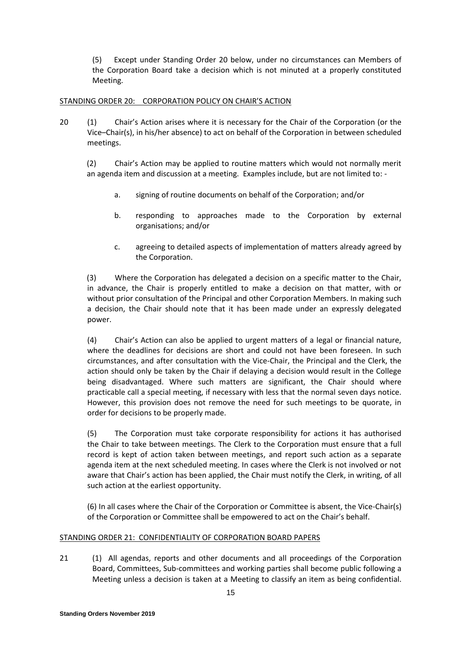(5) Except under Standing Order 20 below, under no circumstances can Members of the Corporation Board take a decision which is not minuted at a properly constituted Meeting.

## STANDING ORDER 20: CORPORATION POLICY ON CHAIR'S ACTION

20 (1) Chair's Action arises where it is necessary for the Chair of the Corporation (or the Vice–Chair(s), in his/her absence) to act on behalf of the Corporation in between scheduled meetings.

(2) Chair's Action may be applied to routine matters which would not normally merit an agenda item and discussion at a meeting. Examples include, but are not limited to: -

- a. signing of routine documents on behalf of the Corporation; and/or
- b. responding to approaches made to the Corporation by external organisations; and/or
- c. agreeing to detailed aspects of implementation of matters already agreed by the Corporation.

(3) Where the Corporation has delegated a decision on a specific matter to the Chair, in advance, the Chair is properly entitled to make a decision on that matter, with or without prior consultation of the Principal and other Corporation Members. In making such a decision, the Chair should note that it has been made under an expressly delegated power.

(4) Chair's Action can also be applied to urgent matters of a legal or financial nature, where the deadlines for decisions are short and could not have been foreseen. In such circumstances, and after consultation with the Vice-Chair, the Principal and the Clerk, the action should only be taken by the Chair if delaying a decision would result in the College being disadvantaged. Where such matters are significant, the Chair should where practicable call a special meeting, if necessary with less that the normal seven days notice. However, this provision does not remove the need for such meetings to be quorate, in order for decisions to be properly made.

(5) The Corporation must take corporate responsibility for actions it has authorised the Chair to take between meetings. The Clerk to the Corporation must ensure that a full record is kept of action taken between meetings, and report such action as a separate agenda item at the next scheduled meeting. In cases where the Clerk is not involved or not aware that Chair's action has been applied, the Chair must notify the Clerk, in writing, of all such action at the earliest opportunity.

(6) In all cases where the Chair of the Corporation or Committee is absent, the Vice-Chair(s) of the Corporation or Committee shall be empowered to act on the Chair's behalf.

### STANDING ORDER 21: CONFIDENTIALITY OF CORPORATION BOARD PAPERS

21 (1) All agendas, reports and other documents and all proceedings of the Corporation Board, Committees, Sub-committees and working parties shall become public following a Meeting unless a decision is taken at a Meeting to classify an item as being confidential.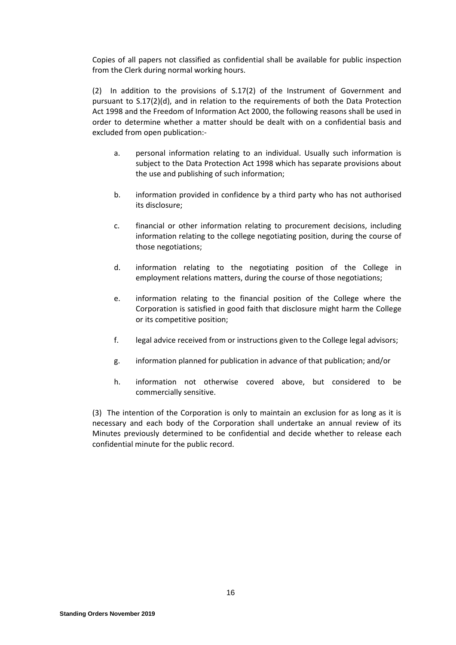Copies of all papers not classified as confidential shall be available for public inspection from the Clerk during normal working hours.

(2) In addition to the provisions of S.17(2) of the Instrument of Government and pursuant to S.17(2)(d), and in relation to the requirements of both the Data Protection Act 1998 and the Freedom of Information Act 2000, the following reasons shall be used in order to determine whether a matter should be dealt with on a confidential basis and excluded from open publication:-

- a. personal information relating to an individual. Usually such information is subject to the Data Protection Act 1998 which has separate provisions about the use and publishing of such information;
- b. information provided in confidence by a third party who has not authorised its disclosure;
- c. financial or other information relating to procurement decisions, including information relating to the college negotiating position, during the course of those negotiations;
- d. information relating to the negotiating position of the College in employment relations matters, during the course of those negotiations;
- e. information relating to the financial position of the College where the Corporation is satisfied in good faith that disclosure might harm the College or its competitive position;
- f. legal advice received from or instructions given to the College legal advisors;
- g. information planned for publication in advance of that publication; and/or
- h. information not otherwise covered above, but considered to be commercially sensitive.

(3) The intention of the Corporation is only to maintain an exclusion for as long as it is necessary and each body of the Corporation shall undertake an annual review of its Minutes previously determined to be confidential and decide whether to release each confidential minute for the public record.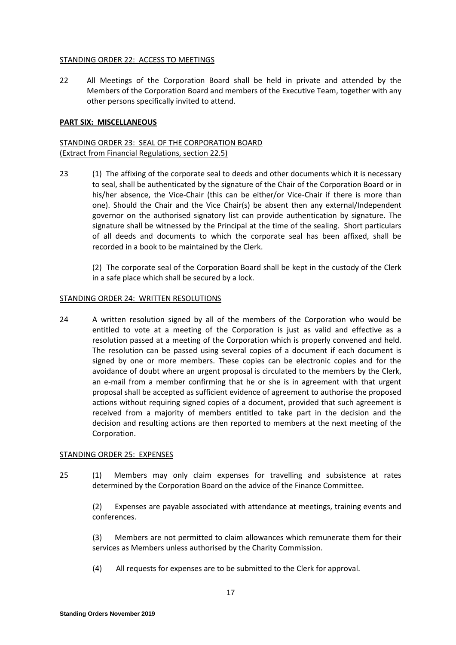#### STANDING ORDER 22: ACCESS TO MEETINGS

22 All Meetings of the Corporation Board shall be held in private and attended by the Members of the Corporation Board and members of the Executive Team, together with any other persons specifically invited to attend.

#### **PART SIX: MISCELLANEOUS**

## STANDING ORDER 23: SEAL OF THE CORPORATION BOARD (Extract from Financial Regulations, section 22.5)

23 (1) The affixing of the corporate seal to deeds and other documents which it is necessary to seal, shall be authenticated by the signature of the Chair of the Corporation Board or in his/her absence, the Vice-Chair (this can be either/or Vice-Chair if there is more than one). Should the Chair and the Vice Chair(s) be absent then any external/Independent governor on the authorised signatory list can provide authentication by signature. The signature shall be witnessed by the Principal at the time of the sealing. Short particulars of all deeds and documents to which the corporate seal has been affixed, shall be recorded in a book to be maintained by the Clerk.

(2) The corporate seal of the Corporation Board shall be kept in the custody of the Clerk in a safe place which shall be secured by a lock.

#### STANDING ORDER 24: WRITTEN RESOLUTIONS

24 A written resolution signed by all of the members of the Corporation who would be entitled to vote at a meeting of the Corporation is just as valid and effective as a resolution passed at a meeting of the Corporation which is properly convened and held. The resolution can be passed using several copies of a document if each document is signed by one or more members. These copies can be electronic copies and for the avoidance of doubt where an urgent proposal is circulated to the members by the Clerk, an e-mail from a member confirming that he or she is in agreement with that urgent proposal shall be accepted as sufficient evidence of agreement to authorise the proposed actions without requiring signed copies of a document, provided that such agreement is received from a majority of members entitled to take part in the decision and the decision and resulting actions are then reported to members at the next meeting of the Corporation.

### STANDING ORDER 25: EXPENSES

25 (1) Members may only claim expenses for travelling and subsistence at rates determined by the Corporation Board on the advice of the Finance Committee.

(2) Expenses are payable associated with attendance at meetings, training events and conferences.

(3) Members are not permitted to claim allowances which remunerate them for their services as Members unless authorised by the Charity Commission.

(4) All requests for expenses are to be submitted to the Clerk for approval.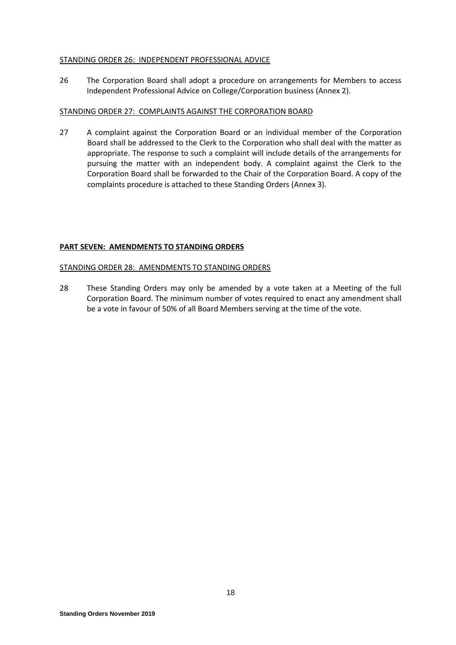#### STANDING ORDER 26: INDEPENDENT PROFESSIONAL ADVICE

26 The Corporation Board shall adopt a procedure on arrangements for Members to access Independent Professional Advice on College/Corporation business (Annex 2).

#### STANDING ORDER 27: COMPLAINTS AGAINST THE CORPORATION BOARD

27 A complaint against the Corporation Board or an individual member of the Corporation Board shall be addressed to the Clerk to the Corporation who shall deal with the matter as appropriate. The response to such a complaint will include details of the arrangements for pursuing the matter with an independent body. A complaint against the Clerk to the Corporation Board shall be forwarded to the Chair of the Corporation Board. A copy of the complaints procedure is attached to these Standing Orders (Annex 3).

### **PART SEVEN: AMENDMENTS TO STANDING ORDERS**

### STANDING ORDER 28: AMENDMENTS TO STANDING ORDERS

28 These Standing Orders may only be amended by a vote taken at a Meeting of the full Corporation Board. The minimum number of votes required to enact any amendment shall be a vote in favour of 50% of all Board Members serving at the time of the vote.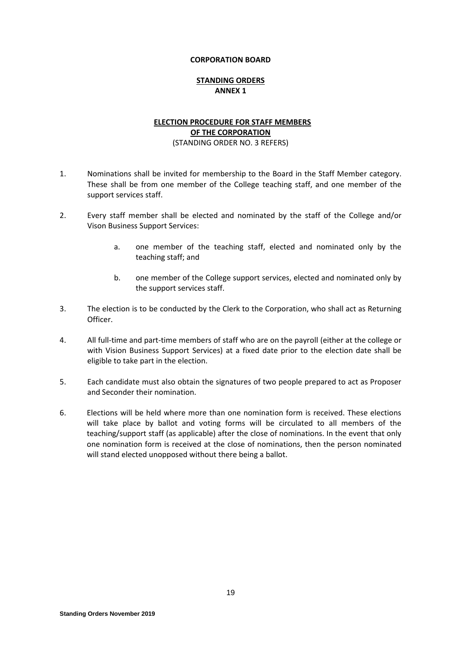### **STANDING ORDERS ANNEX 1**

## **ELECTION PROCEDURE FOR STAFF MEMBERS OF THE CORPORATION**

#### (STANDING ORDER NO. 3 REFERS)

- 1. Nominations shall be invited for membership to the Board in the Staff Member category. These shall be from one member of the College teaching staff, and one member of the support services staff.
- 2. Every staff member shall be elected and nominated by the staff of the College and/or Vison Business Support Services:
	- a. one member of the teaching staff, elected and nominated only by the teaching staff; and
	- b. one member of the College support services, elected and nominated only by the support services staff.
- 3. The election is to be conducted by the Clerk to the Corporation, who shall act as Returning Officer.
- 4. All full-time and part-time members of staff who are on the payroll (either at the college or with Vision Business Support Services) at a fixed date prior to the election date shall be eligible to take part in the election.
- 5. Each candidate must also obtain the signatures of two people prepared to act as Proposer and Seconder their nomination.
- 6. Elections will be held where more than one nomination form is received. These elections will take place by ballot and voting forms will be circulated to all members of the teaching/support staff (as applicable) after the close of nominations. In the event that only one nomination form is received at the close of nominations, then the person nominated will stand elected unopposed without there being a ballot.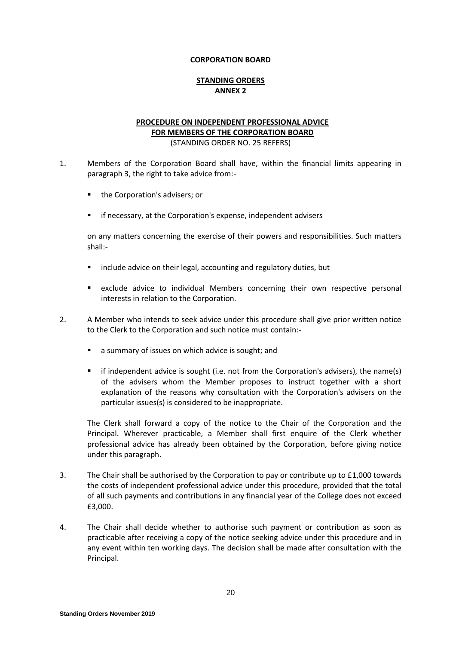### **STANDING ORDERS ANNEX 2**

## **PROCEDURE ON INDEPENDENT PROFESSIONAL ADVICE FOR MEMBERS OF THE CORPORATION BOARD** (STANDING ORDER NO. 25 REFERS)

- 1. Members of the Corporation Board shall have, within the financial limits appearing in paragraph 3, the right to take advice from:-
	- the Corporation's advisers; or
	- if necessary, at the Corporation's expense, independent advisers

on any matters concerning the exercise of their powers and responsibilities. Such matters shall:-

- include advice on their legal, accounting and regulatory duties, but
- exclude advice to individual Members concerning their own respective personal interests in relation to the Corporation.
- 2. A Member who intends to seek advice under this procedure shall give prior written notice to the Clerk to the Corporation and such notice must contain:
	- **a** a summary of issues on which advice is sought; and
	- if independent advice is sought (i.e. not from the Corporation's advisers), the name(s) of the advisers whom the Member proposes to instruct together with a short explanation of the reasons why consultation with the Corporation's advisers on the particular issues(s) is considered to be inappropriate.

The Clerk shall forward a copy of the notice to the Chair of the Corporation and the Principal. Wherever practicable, a Member shall first enquire of the Clerk whether professional advice has already been obtained by the Corporation, before giving notice under this paragraph.

- 3. The Chair shall be authorised by the Corporation to pay or contribute up to £1,000 towards the costs of independent professional advice under this procedure, provided that the total of all such payments and contributions in any financial year of the College does not exceed £3,000.
- 4. The Chair shall decide whether to authorise such payment or contribution as soon as practicable after receiving a copy of the notice seeking advice under this procedure and in any event within ten working days. The decision shall be made after consultation with the Principal.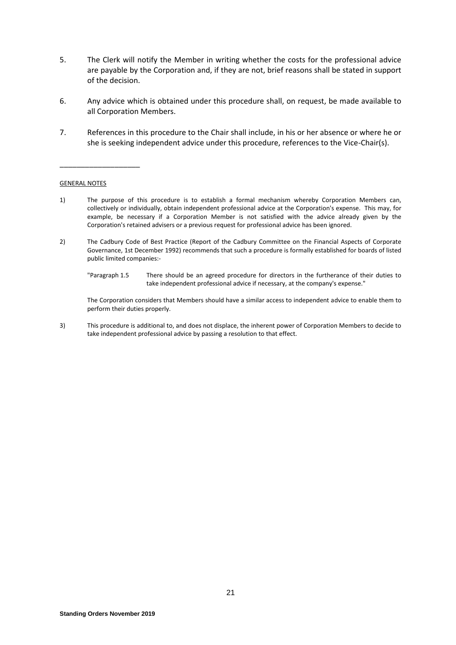- 5. The Clerk will notify the Member in writing whether the costs for the professional advice are payable by the Corporation and, if they are not, brief reasons shall be stated in support of the decision.
- 6. Any advice which is obtained under this procedure shall, on request, be made available to all Corporation Members.
- 7. References in this procedure to the Chair shall include, in his or her absence or where he or she is seeking independent advice under this procedure, references to the Vice-Chair(s).

#### GENERAL NOTES

\_\_\_\_\_\_\_\_\_\_\_\_\_\_\_\_\_\_\_

- 1) The purpose of this procedure is to establish a formal mechanism whereby Corporation Members can, collectively or individually, obtain independent professional advice at the Corporation's expense. This may, for example, be necessary if a Corporation Member is not satisfied with the advice already given by the Corporation's retained advisers or a previous request for professional advice has been ignored.
- 2) The Cadbury Code of Best Practice (Report of the Cadbury Committee on the Financial Aspects of Corporate Governance, 1st December 1992) recommends that such a procedure is formally established for boards of listed public limited companies:-
	- "Paragraph 1.5 There should be an agreed procedure for directors in the furtherance of their duties to take independent professional advice if necessary, at the company's expense."

The Corporation considers that Members should have a similar access to independent advice to enable them to perform their duties properly.

3) This procedure is additional to, and does not displace, the inherent power of Corporation Members to decide to take independent professional advice by passing a resolution to that effect.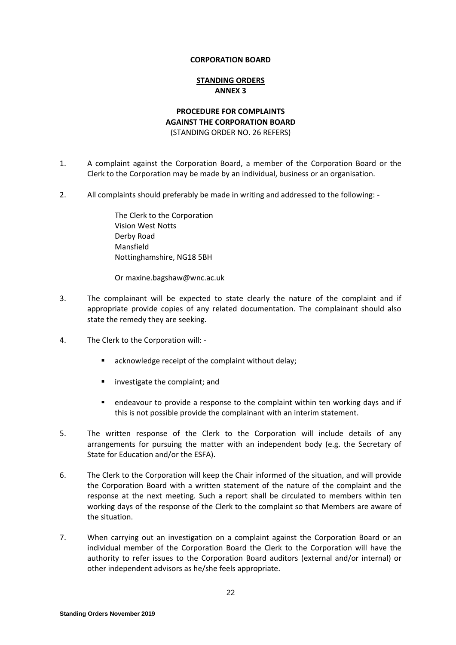#### **STANDING ORDERS ANNEX 3**

### **PROCEDURE FOR COMPLAINTS AGAINST THE CORPORATION BOARD** (STANDING ORDER NO. 26 REFERS)

- 1. A complaint against the Corporation Board, a member of the Corporation Board or the Clerk to the Corporation may be made by an individual, business or an organisation.
- 2. All complaints should preferably be made in writing and addressed to the following: -

The Clerk to the Corporation Vision West Notts Derby Road Mansfield Nottinghamshire, NG18 5BH

Or maxine.bagshaw@wnc.ac.uk

- 3. The complainant will be expected to state clearly the nature of the complaint and if appropriate provide copies of any related documentation. The complainant should also state the remedy they are seeking.
- 4. The Clerk to the Corporation will:
	- acknowledge receipt of the complaint without delay;
	- **u** investigate the complaint; and
	- endeavour to provide a response to the complaint within ten working days and if this is not possible provide the complainant with an interim statement.
- 5. The written response of the Clerk to the Corporation will include details of any arrangements for pursuing the matter with an independent body (e.g. the Secretary of State for Education and/or the ESFA).
- 6. The Clerk to the Corporation will keep the Chair informed of the situation, and will provide the Corporation Board with a written statement of the nature of the complaint and the response at the next meeting. Such a report shall be circulated to members within ten working days of the response of the Clerk to the complaint so that Members are aware of the situation.
- 7. When carrying out an investigation on a complaint against the Corporation Board or an individual member of the Corporation Board the Clerk to the Corporation will have the authority to refer issues to the Corporation Board auditors (external and/or internal) or other independent advisors as he/she feels appropriate.